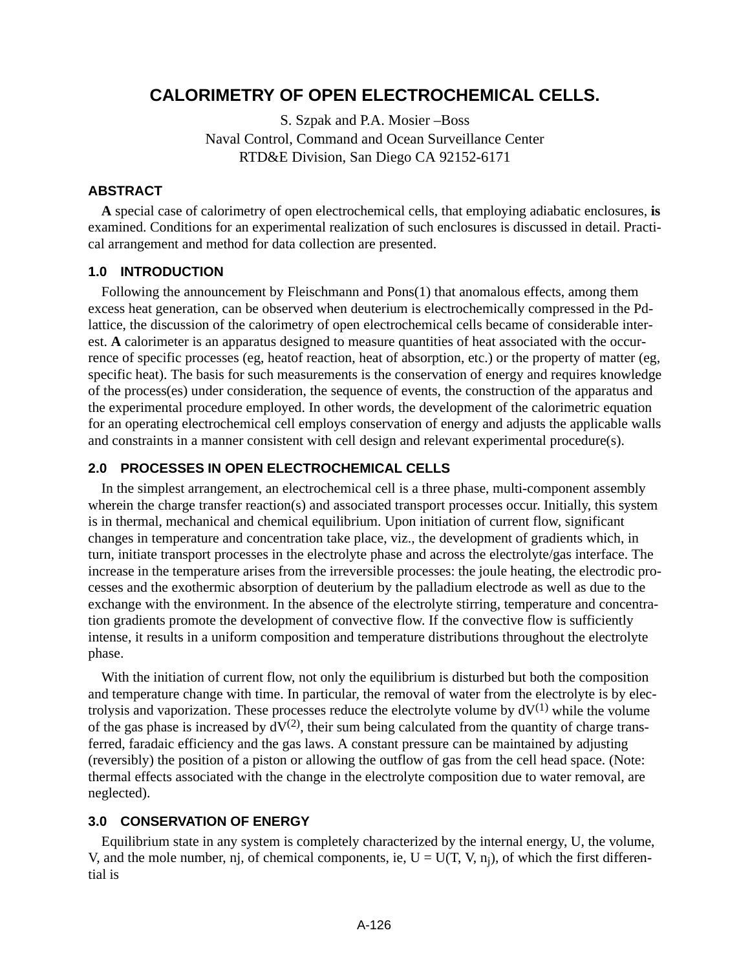# **CALORIMETRY OF OPEN ELECTROCHEMICAL CELLS.**

S. Szpak and P.A. Mosier –Boss Naval Control, Command and Ocean Surveillance Center RTD&E Division, San Diego CA 92152-6171

## **ABSTRACT**

**A** special case of calorimetry of open electrochemical cells, that employing adiabatic enclosures, **is** examined. Conditions for an experimental realization of such enclosures is discussed in detail. Practical arrangement and method for data collection are presented.

### **1.0 INTRODUCTION**

Following the announcement by Fleischmann and Pons(1) that anomalous effects, among them excess heat generation, can be observed when deuterium is electrochemically compressed in the Pdlattice, the discussion of the calorimetry of open electrochemical cells became of considerable interest. **A** calorimeter is an apparatus designed to measure quantities of heat associated with the occurrence of specific processes (eg, heatof reaction, heat of absorption, etc.) or the property of matter (eg, specific heat). The basis for such measurements is the conservation of energy and requires knowledge of the process(es) under consideration, the sequence of events, the construction of the apparatus and the experimental procedure employed. In other words, the development of the calorimetric equation for an operating electrochemical cell employs conservation of energy and adjusts the applicable walls and constraints in a manner consistent with cell design and relevant experimental procedure(s).

## **2.0 PROCESSES IN OPEN ELECTROCHEMICAL CELLS**

In the simplest arrangement, an electrochemical cell is a three phase, multi-component assembly wherein the charge transfer reaction(s) and associated transport processes occur. Initially, this system is in thermal, mechanical and chemical equilibrium. Upon initiation of current flow, significant changes in temperature and concentration take place, viz., the development of gradients which, in turn, initiate transport processes in the electrolyte phase and across the electrolyte/gas interface. The increase in the temperature arises from the irreversible processes: the joule heating, the electrodic processes and the exothermic absorption of deuterium by the palladium electrode as well as due to the exchange with the environment. In the absence of the electrolyte stirring, temperature and concentration gradients promote the development of convective flow. If the convective flow is sufficiently intense, it results in a uniform composition and temperature distributions throughout the electrolyte phase.

With the initiation of current flow, not only the equilibrium is disturbed but both the composition and temperature change with time. In particular, the removal of water from the electrolyte is by electrolysis and vaporization. These processes reduce the electrolyte volume by  $dV^{(1)}$  while the volume of the gas phase is increased by  $dV^{(2)}$ , their sum being calculated from the quantity of charge transferred, faradaic efficiency and the gas laws. A constant pressure can be maintained by adjusting (reversibly) the position of a piston or allowing the outflow of gas from the cell head space. (Note: thermal effects associated with the change in the electrolyte composition due to water removal, are neglected).

### **3.0 CONSERVATION OF ENERGY**

Equilibrium state in any system is completely characterized by the internal energy, U, the volume, V, and the mole number, nj, of chemical components, ie,  $U = U(T, V, n_i)$ , of which the first differential is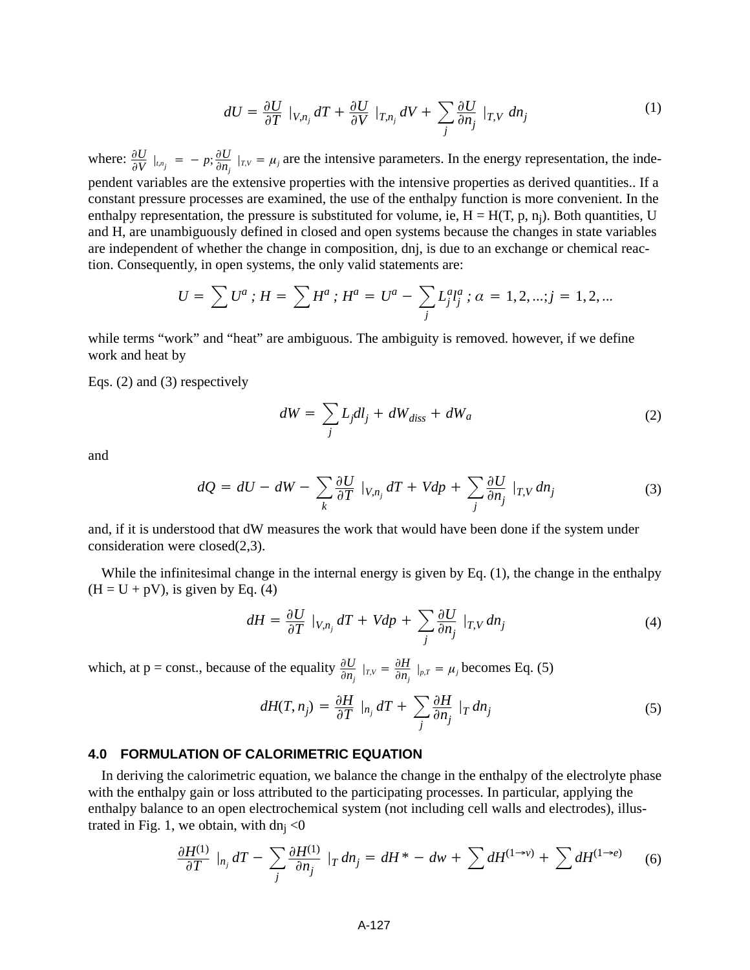$$
dU = \frac{\partial U}{\partial T} \mid_{V,n_j} dT + \frac{\partial U}{\partial V} \mid_{T,n_j} dV + \sum_j \frac{\partial U}{\partial n_j} \mid_{T,V} dn_j
$$
 (1)

where:  $\frac{\partial U}{\partial V}\Big|_{t,n_j} = -p; \frac{\partial U}{\partial n_j}$  $\frac{\partial U}{\partial n_j}|_{T,V} = \mu_j$  are the intensive parameters. In the energy representation, the independent variables are the extensive properties with the intensive properties as derived quantities.. If a constant pressure processes are examined, the use of the enthalpy function is more convenient. In the enthalpy representation, the pressure is substituted for volume, ie,  $H = H(T, p, n<sub>i</sub>)$ . Both quantities, U and H, are unambiguously defined in closed and open systems because the changes in state variables are independent of whether the change in composition, dnj, is due to an exchange or chemical reaction. Consequently, in open systems, the only valid statements are:

$$
U = \sum U^a ; H = \sum H^a ; H^a = U^a - \sum_j L_j^a l_j^a ; \alpha = 1, 2, ...; j = 1, 2, ...
$$

while terms "work" and "heat" are ambiguous. The ambiguity is removed, however, if we define work and heat by

Eqs. (2) and (3) respectively

$$
dW = \sum_{j} L_j dl_j + dW_{diss} + dW_a \tag{2}
$$

and

$$
dQ = dU - dW - \sum_{k} \frac{\partial U}{\partial T} \mid_{V,n_j} dT + Vdp + \sum_{j} \frac{\partial U}{\partial n_j} \mid_{T,V} dn_j
$$
 (3)

and, if it is understood that dW measures the work that would have been done if the system under consideration were closed(2,3).

While the infinitesimal change in the internal energy is given by Eq. (1), the change in the enthalpy  $(H = U + pV)$ , is given by Eq. (4)

$$
dH = \frac{\partial U}{\partial T} \mid_{V,n_j} dT + Vdp + \sum_j \frac{\partial U}{\partial n_j} \mid_{T,V} dn_j
$$
 (4)

which, at p = const., because of the equality  $\frac{\partial U}{\partial n_j}\Big|_{T,V} = \frac{\partial H}{\partial n_j}\Big|_{p,T} = \mu_j$  becomes Eq. (5)

$$
dH(T, n_j) = \frac{\partial H}{\partial T} \mid_{n_j} dT + \sum_j \frac{\partial H}{\partial n_j} \mid_T dn_j
$$
 (5)

### **4.0 FORMULATION OF CALORIMETRIC EQUATION**

In deriving the calorimetric equation, we balance the change in the enthalpy of the electrolyte phase with the enthalpy gain or loss attributed to the participating processes. In particular, applying the enthalpy balance to an open electrochemical system (not including cell walls and electrodes), illustrated in Fig. 1, we obtain, with dn<sub>j</sub> <0

$$
\frac{\partial H^{(1)}}{\partial T}\mid_{n_j} dT - \sum_j \frac{\partial H^{(1)}}{\partial n_j}\mid_T dn_j = dH^* - dw + \sum dH^{(1 \to \nu)} + \sum dH^{(1 \to e)} \qquad (6)
$$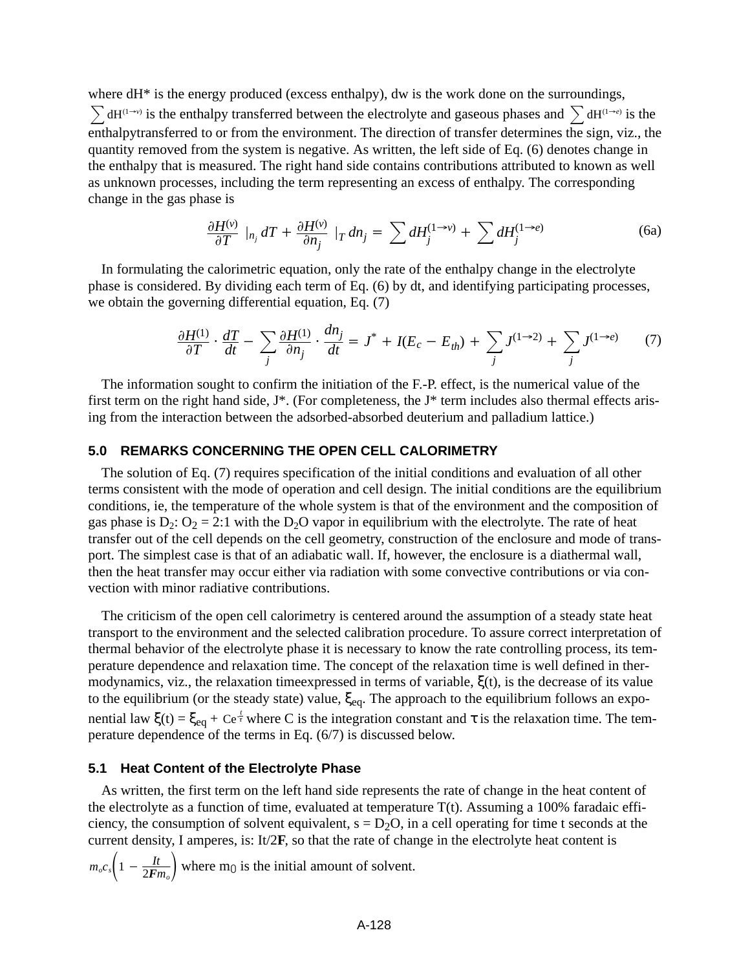where  $dH^*$  is the energy produced (excess enthalpy), dw is the work done on the surroundings, where  $dH^{(1\rightarrow v)}$  is the enthalpy transferred between the electrolyte and gaseous phases and  $\sum dH^{(1\rightarrow v)}$  is the enthalpytransferred to or from the environment. The direction of transfer determines the sign, viz., the quantity removed from the system is negative. As written, the left side of Eq. (6) denotes change in the enthalpy that is measured. The right hand side contains contributions attributed to known as well as unknown processes, including the term representing an excess of enthalpy. The corresponding change in the gas phase is

$$
\frac{\partial H^{(\nu)}}{\partial T}\mid_{n_j} dT + \frac{\partial H^{(\nu)}}{\partial n_j}\mid_T dn_j = \sum dH_j^{(1 \to \nu)} + \sum dH_j^{(1 \to e)}
$$
(6a)

In formulating the calorimetric equation, only the rate of the enthalpy change in the electrolyte phase is considered. By dividing each term of Eq. (6) by dt, and identifying participating processes, we obtain the governing differential equation, Eq. (7)

$$
\frac{\partial H^{(1)}}{\partial T} \cdot \frac{dT}{dt} - \sum_{j} \frac{\partial H^{(1)}}{\partial n_j} \cdot \frac{dn_j}{dt} = J^* + I(E_c - E_{th}) + \sum_{j} J^{(1 \to 2)} + \sum_{j} J^{(1 \to e)} \tag{7}
$$

The information sought to confirm the initiation of the F.-P. effect, is the numerical value of the first term on the right hand side,  $J^*$ . (For completeness, the  $J^*$  term includes also thermal effects arising from the interaction between the adsorbed-absorbed deuterium and palladium lattice.)

## **5.0 REMARKS CONCERNING THE OPEN CELL CALORIMETRY**

The solution of Eq. (7) requires specification of the initial conditions and evaluation of all other terms consistent with the mode of operation and cell design. The initial conditions are the equilibrium conditions, ie, the temperature of the whole system is that of the environment and the composition of gas phase is  $D_2$ :  $O_2 = 2.1$  with the  $D_2O$  vapor in equilibrium with the electrolyte. The rate of heat transfer out of the cell depends on the cell geometry, construction of the enclosure and mode of transport. The simplest case is that of an adiabatic wall. If, however, the enclosure is a diathermal wall, then the heat transfer may occur either via radiation with some convective contributions or via convection with minor radiative contributions.

The criticism of the open cell calorimetry is centered around the assumption of a steady state heat transport to the environment and the selected calibration procedure. To assure correct interpretation of thermal behavior of the electrolyte phase it is necessary to know the rate controlling process, its temperature dependence and relaxation time. The concept of the relaxation time is well defined in thermodynamics, viz., the relaxation timeexpressed in terms of variable, ξ(t), is the decrease of its value to the equilibrium (or the steady state) value,  $\xi_{eq}$ . The approach to the equilibrium follows an exponential law  $\xi(t) = \xi_{eq} + Ce^{\frac{t}{\tau}}$  where C is the integration constant and  $\tau$  is the relaxation time. The temperature dependence of the terms in Eq. (6/7) is discussed below.

#### **5.1 Heat Content of the Electrolyte Phase**

As written, the first term on the left hand side represents the rate of change in the heat content of the electrolyte as a function of time, evaluated at temperature  $T(t)$ . Assuming a 100% faradaic efficiency, the consumption of solvent equivalent,  $s = D<sub>2</sub>O$ , in a cell operating for time t seconds at the current density, I amperes, is: It/2**F**, so that the rate of change in the electrolyte heat content is

 $m_o c_s \left(1 - \frac{It}{2E} \right)$  $\frac{H}{2Fm_o}$  where m<sub>0</sub> is the initial amount of solvent.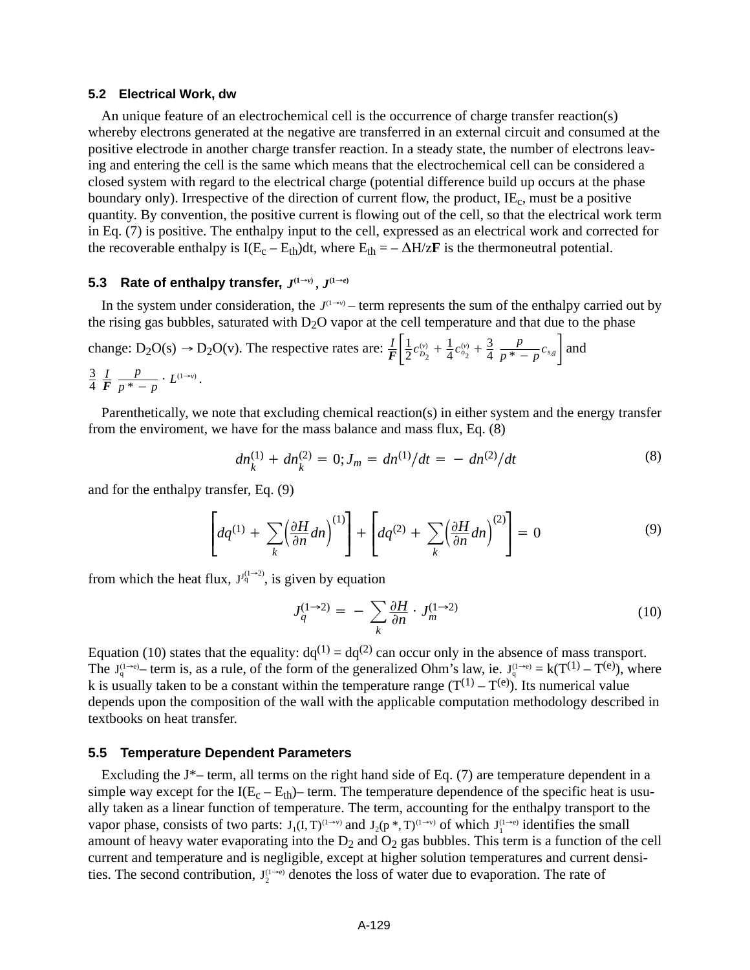#### **5.2 Electrical Work, dw**

An unique feature of an electrochemical cell is the occurrence of charge transfer reaction(s) whereby electrons generated at the negative are transferred in an external circuit and consumed at the positive electrode in another charge transfer reaction. In a steady state, the number of electrons leaving and entering the cell is the same which means that the electrochemical cell can be considered a closed system with regard to the electrical charge (potential difference build up occurs at the phase boundary only). Irrespective of the direction of current flow, the product, IEc, must be a positive quantity. By convention, the positive current is flowing out of the cell, so that the electrical work term in Eq. (7) is positive. The enthalpy input to the cell, expressed as an electrical work and corrected for the recoverable enthalpy is  $I(E_c - E_{th})dt$ , where  $E_{th} = -\Delta H/zF$  is the thermoneutral potential.

## 5.3 Rate of enthalpy transfer,  $J^{(1\rightarrow v)}$ ,  $J^{(1\rightarrow e)}$

In the system under consideration, the  $J^{(1\rightarrow v)}$  – term represents the sum of the enthalpy carried out by

the rising gas bubbles, saturated with D<sub>2</sub>O vapor at the cell temperature and that due to the phase  
change: D<sub>2</sub>O(s) 
$$
\rightarrow
$$
 D<sub>2</sub>O(v). The respective rates are:  $\frac{I}{F} \left[ \frac{1}{2} c_{D_2}^{(v)} + \frac{1}{4} c_{\theta_2}^{(v)} + \frac{3}{4} \frac{p}{p^* - p} c_{sg} \right]$  and  $\frac{3}{4} \frac{I}{F} \frac{p}{p^* - p} \cdot L^{(1 \to v)}$ .

Parenthetically, we note that excluding chemical reaction(s) in either system and the energy transfer from the enviroment, we have for the mass balance and mass flux, Eq. (8)

$$
dn_k^{(1)} + dn_k^{(2)} = 0; J_m = dn^{(1)}/dt = -dn^{(2)}/dt \tag{8}
$$

and for the enthalpy transfer, Eq. (9)

$$
\left[ dq^{(1)} + \sum_{k} \left( \frac{\partial H}{\partial n} dn \right)^{(1)} \right] + \left[ dq^{(2)} + \sum_{k} \left( \frac{\partial H}{\partial n} dn \right)^{(2)} \right] = 0 \tag{9}
$$

from which the heat flux,  $J_4^{(1\rightarrow 2)}$ , is given by equation

$$
J_q^{(1\rightarrow 2)} = -\sum_k \frac{\partial H}{\partial n} \cdot J_m^{(1\rightarrow 2)}
$$
(10)

Equation (10) states that the equality:  $dq^{(1)} = dq^{(2)}$  can occur only in the absence of mass transport. The  $J_q^{(1\rightarrow e)}$  – term is, as a rule, of the form of the generalized Ohm's law, ie.  $J_q^{(1\rightarrow e)} = k(T^{(1)} - T^{(e)})$ , where k is usually taken to be a constant within the temperature range  $(T^{(1)} - T^{(e)})$ . Its numerical value depends upon the composition of the wall with the applicable computation methodology described in textbooks on heat transfer.

#### **5.5 Temperature Dependent Parameters**

Excluding the  $J^*-$  term, all terms on the right hand side of Eq. (7) are temperature dependent in a simple way except for the  $I(E_c - E_{th})$  term. The temperature dependence of the specific heat is usually taken as a linear function of temperature. The term, accounting for the enthalpy transport to the vapor phase, consists of two parts:  $J_1(I, T)^{(1 \to v)}$  and  $J_2(p^*, T)^{(1 \to v)}$  of which  $J_1^{(1 \to e)}$  identifies the small amount of heavy water evaporating into the  $D_2$  and  $O_2$  gas bubbles. This term is a function of the cell current and temperature and is negligible, except at higher solution temperatures and current densities. The second contribution,  $J_2^{(1\rightarrow e)}$  denotes the loss of water due to evaporation. The rate of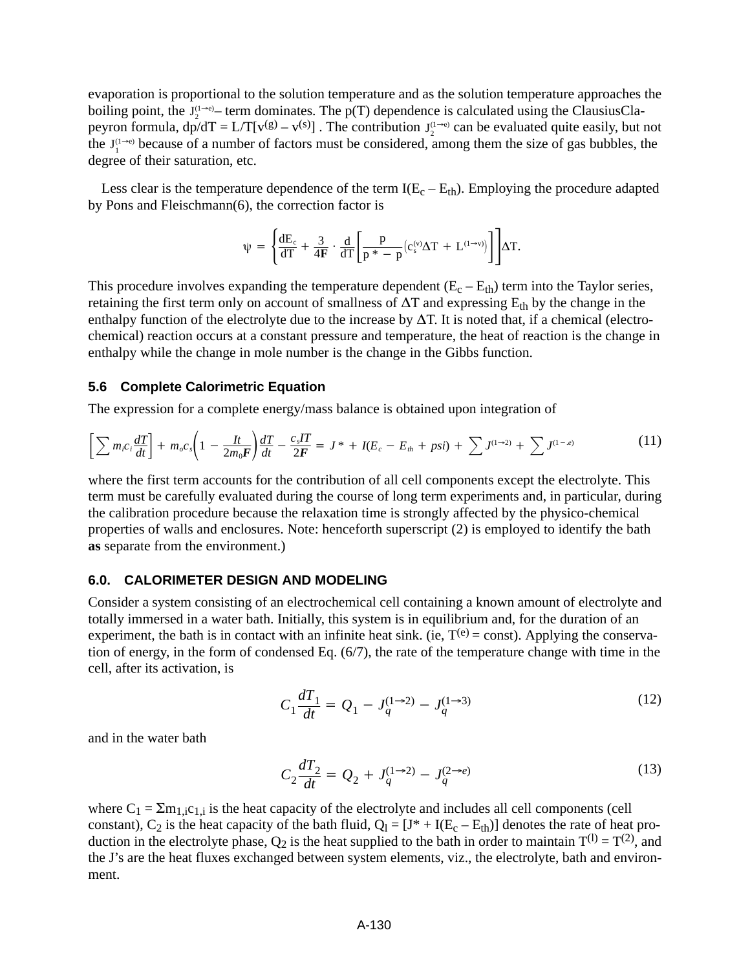evaporation is proportional to the solution temperature and as the solution temperature approaches the boiling point, the  $J_2^{(1\rightarrow e)}$  term dominates. The p(T) dependence is calculated using the ClausiusClapeyron formula,  $dp/dT = L/T[v^{(g)} - v^{(s)}]$ . The contribution  $J_2^{(1\to e)}$  can be evaluated quite easily, but not the  $J_1^{(1\rightarrow e)}$  because of a number of factors must be considered, among them the size of gas bubbles, the degree of their saturation, etc.

Less clear is the temperature dependence of the term  $I(E_c - E_{th})$ . Employing the procedure adapted by Pons and Fleischmann(6), the correction factor is

$$
\psi \,=\, \Bigg\{ \frac{dE_c}{dT} + \frac{3}{4F} \cdot \frac{d}{dT} \Bigg[\frac{p}{p^{*}-p} (c_s^{\scriptscriptstyle{(v)}}\Delta T\,+\,L^{\scriptscriptstyle{(1\to v)}}) \Bigg] \Bigg] \Delta T.
$$

This procedure involves expanding the temperature dependent  $(E_c - E_{th})$  term into the Taylor series, retaining the first term only on account of smallness of  $\Delta T$  and expressing  $E_{th}$  by the change in the enthalpy function of the electrolyte due to the increase by  $\Delta T$ . It is noted that, if a chemical (electrochemical) reaction occurs at a constant pressure and temperature, the heat of reaction is the change in enthalpy while the change in mole number is the change in the Gibbs function.

#### **5.6 Complete Calorimetric Equation**

The expression for a complete energy/mass balance is obtained upon integration of

$$
\left[\sum m_i c_i \frac{dT}{dt}\right] + m_o c_s \left(1 - \frac{It}{2m_0 F}\right) \frac{dT}{dt} - \frac{c_s IT}{2F} = J^* + I(E_c - E_{th} + psi) + \sum J^{(1 \to 2)} + \sum J^{(1 - e)} \tag{11}
$$

where the first term accounts for the contribution of all cell components except the electrolyte. This term must be carefully evaluated during the course of long term experiments and, in particular, during the calibration procedure because the relaxation time is strongly affected by the physico-chemical properties of walls and enclosures. Note: henceforth superscript (2) is employed to identify the bath **as** separate from the environment.)

## **6.0. CALORIMETER DESIGN AND MODELING**

Consider a system consisting of an electrochemical cell containing a known amount of electrolyte and totally immersed in a water bath. Initially, this system is in equilibrium and, for the duration of an experiment, the bath is in contact with an infinite heat sink. (ie,  $T^{(e)} = \text{const}$ ). Applying the conservation of energy, in the form of condensed Eq. (6/7), the rate of the temperature change with time in the cell, after its activation, is

$$
C_1 \frac{dT_1}{dt} = Q_1 - J_q^{(1 \to 2)} - J_q^{(1 \to 3)}
$$
\n(12)

and in the water bath

$$
C_2 \frac{dT_2}{dt} = Q_2 + J_q^{(1 \to 2)} - J_q^{(2 \to e)}
$$
\n(13)

where  $C_1 = \sum m_{1,i} c_{1,i}$  is the heat capacity of the electrolyte and includes all cell components (cell constant),  $C_2$  is the heat capacity of the bath fluid,  $Q_1 = [J^* + I(E_c - E_{th})]$  denotes the rate of heat production in the electrolyte phase,  $Q_2$  is the heat supplied to the bath in order to maintain  $T^{(1)} = T^{(2)}$ , and the J's are the heat fluxes exchanged between system elements, viz., the electrolyte, bath and environment.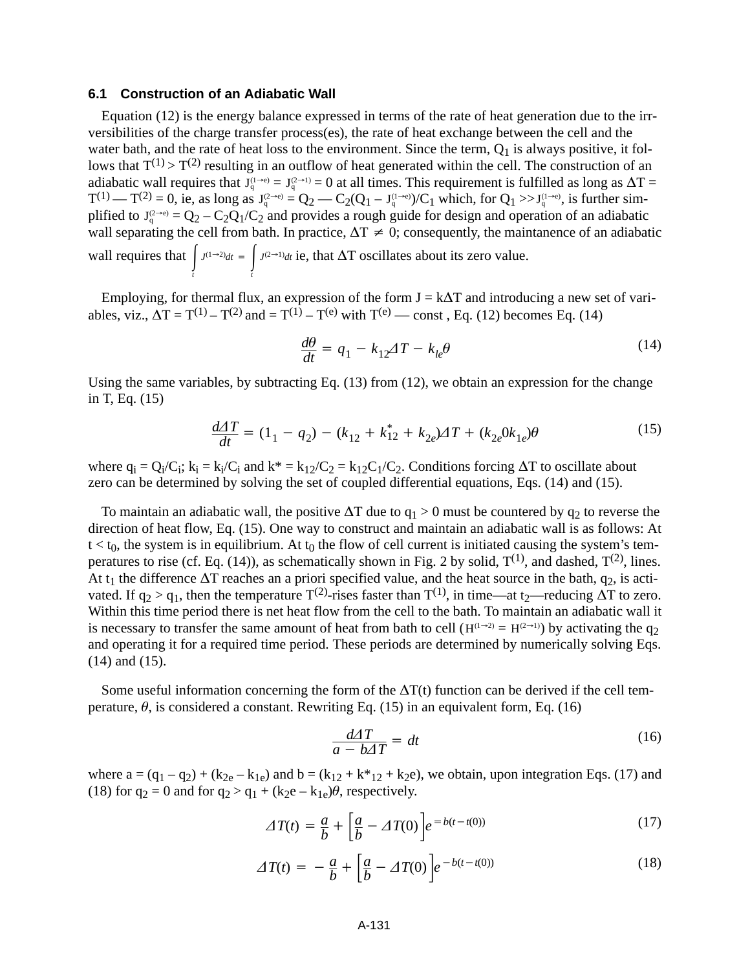#### **6.1 Construction of an Adiabatic Wall**

Equation (12) is the energy balance expressed in terms of the rate of heat generation due to the irrversibilities of the charge transfer process(es), the rate of heat exchange between the cell and the water bath, and the rate of heat loss to the environment. Since the term,  $Q_1$  is always positive, it follows that  $T^{(1)}$  >  $T^{(2)}$  resulting in an outflow of heat generated within the cell. The construction of an adiabatic wall requires that  $J_q^{(1\to e)} = J_q^{(2\to 1)} = 0$  at all times. This requirement is fulfilled as long as  $\Delta T =$  $T^{(1)}$  — T<sup>(2)</sup> = 0, ie, as long as  $J_q^{(2\to e)} = Q_2$  — C<sub>2</sub>(Q<sub>1</sub> –  $J_q^{(1\to e)}$ )/C<sub>1</sub> which, for  $Q_1 >> J_q^{(1\to e)}$ , is further simplified to  $J_q^{(2\to e)} = Q_2 - C_2Q_1/C_2$  and provides a rough guide for design and operation of an adiabatic wall separating the cell from bath. In practice,  $\Delta T \neq 0$ ; consequently, the maintanence of an adiabatic wall requires that  $\int$ *t*  $J^{(1\to 2)}dt =$ *t*  $J^{(2\rightarrow 1)}$ dt ie, that  $\Delta T$  oscillates about its zero value.

Employing, for thermal flux, an expression of the form  $J = k\Delta T$  and introducing a new set of variables, viz.,  $\Delta T = T^{(1)} - T^{(2)}$  and  $T^{(1)} - T^{(e)}$  with  $T^{(e)}$  const , Eq. (12) becomes Eq. (14)

$$
\frac{d\theta}{dt} = q_1 - k_{12} \Delta T - k_{le} \theta \tag{14}
$$

Using the same variables, by subtracting Eq.  $(13)$  from  $(12)$ , we obtain an expression for the change in T, Eq. (15)

$$
\frac{d\Delta T}{dt} = (1_1 - q_2) - (k_{12} + k_{12}^* + k_{2e})\Delta T + (k_{2e}0k_{1e})\theta
$$
\n(15)

where  $q_i = Q_i/C_i$ ;  $k_i = k_i/C_i$  and  $k^* = k_{12}/C_2 = k_{12}C_1/C_2$ . Conditions forcing  $\Delta T$  to oscillate about zero can be determined by solving the set of coupled differential equations, Eqs. (14) and (15).

To maintain an adiabatic wall, the positive  $\Delta T$  due to  $q_1 > 0$  must be countered by  $q_2$  to reverse the direction of heat flow, Eq. (15). One way to construct and maintain an adiabatic wall is as follows: At  $t < t_0$ , the system is in equilibrium. At  $t_0$  the flow of cell current is initiated causing the system's temperatures to rise (cf. Eq. (14)), as schematically shown in Fig. 2 by solid,  $T^{(1)}$ , and dashed,  $T^{(2)}$ , lines. At t<sub>1</sub> the difference  $\Delta T$  reaches an a priori specified value, and the heat source in the bath, q<sub>2</sub>, is activated. If  $q_2 > q_1$ , then the temperature T<sup>(2)</sup>-rises faster than T<sup>(1)</sup>, in time—at t<sub>2</sub>—reducing  $\Delta T$  to zero. Within this time period there is net heat flow from the cell to the bath. To maintain an adiabatic wall it is necessary to transfer the same amount of heat from bath to cell  $(H^{(1\rightarrow 2)} = H^{(2\rightarrow 1)})$  by activating the q<sub>2</sub> and operating it for a required time period. These periods are determined by numerically solving Eqs. (14) and (15).

Some useful information concerning the form of the  $\Delta T(t)$  function can be derived if the cell temperature,  $\theta$ , is considered a constant. Rewriting Eq. (15) in an equivalent form, Eq. (16)

$$
\frac{d\Delta T}{a - b\Delta T} = dt \tag{16}
$$

where  $a = (q_1 - q_2) + (k_{2e} - k_{1e})$  and  $b = (k_{12} + k_{12} + k_{2}e)$ , we obtain, upon integration Eqs. (17) and (18) for  $q_2 = 0$  and for  $q_2 > q_1 + (k_2 e - k_{1e})\theta$ , respectively.

$$
\Delta T(t) = \frac{a}{b} + \left[\frac{a}{b} - \Delta T(0)\right] e^{-b(t - t(0))} \tag{17}
$$

$$
\Delta T(t) = -\frac{a}{b} + \left[\frac{a}{b} - \Delta T(0)\right] e^{-b(t - t(0))}
$$
\n(18)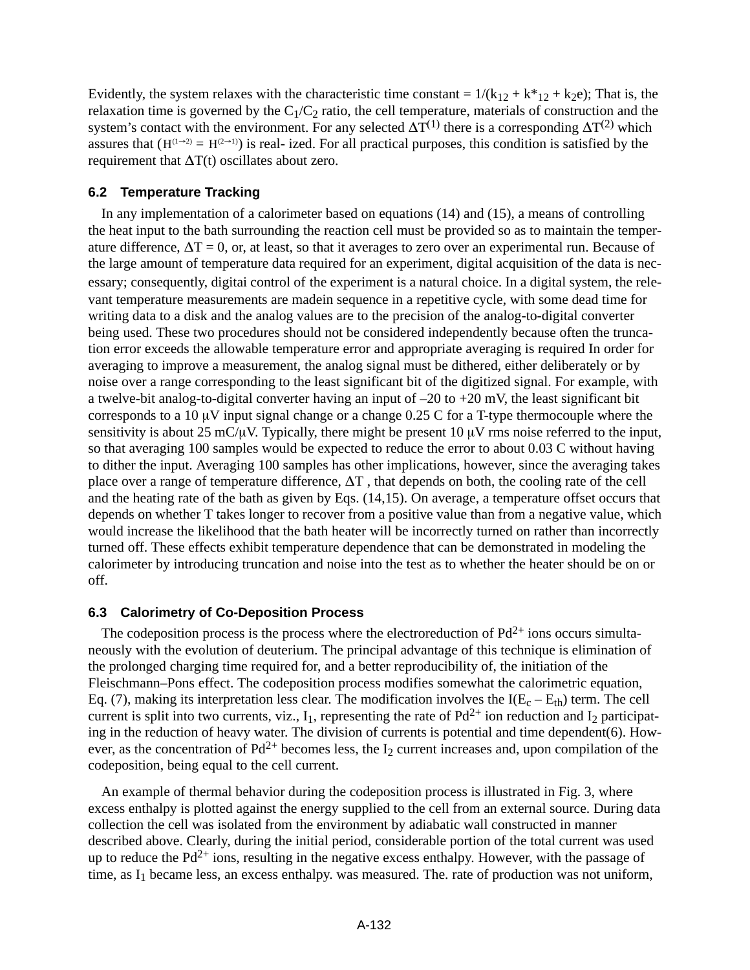Evidently, the system relaxes with the characteristic time constant =  $1/(k_{12} + k_{12} + k_{2}e)$ ; That is, the relaxation time is governed by the  $C_1/C_2$  ratio, the cell temperature, materials of construction and the system's contact with the environment. For any selected  $\Delta T^{(1)}$  there is a corresponding  $\Delta T^{(2)}$  which assures that  $(H^{(1\rightarrow 2)} = H^{(2\rightarrow 1)})$  is real- ized. For all practical purposes, this condition is satisfied by the requirement that  $\Delta T(t)$  oscillates about zero.

## **6.2 Temperature Tracking**

In any implementation of a calorimeter based on equations (14) and (15), a means of controlling the heat input to the bath surrounding the reaction cell must be provided so as to maintain the temperature difference,  $\Delta T = 0$ , or, at least, so that it averages to zero over an experimental run. Because of the large amount of temperature data required for an experiment, digital acquisition of the data is necessary; consequently, digitai control of the experiment is a natural choice. In a digital system, the relevant temperature measurements are madein sequence in a repetitive cycle, with some dead time for writing data to a disk and the analog values are to the precision of the analog-to-digital converter being used. These two procedures should not be considered independently because often the truncation error exceeds the allowable temperature error and appropriate averaging is required In order for averaging to improve a measurement, the analog signal must be dithered, either deliberately or by noise over a range corresponding to the least significant bit of the digitized signal. For example, with a twelve-bit analog-to-digital converter having an input of  $-20$  to  $+20$  mV, the least significant bit corresponds to a 10  $\mu$ V input signal change or a change 0.25 C for a T-type thermocouple where the sensitivity is about 25 mC/ $\mu$ V. Typically, there might be present 10  $\mu$ V rms noise referred to the input, so that averaging 100 samples would be expected to reduce the error to about 0.03 C without having to dither the input. Averaging 100 samples has other implications, however, since the averaging takes place over a range of temperature difference,  $\Delta T$ , that depends on both, the cooling rate of the cell and the heating rate of the bath as given by Eqs. (14,15). On average, a temperature offset occurs that depends on whether T takes longer to recover from a positive value than from a negative value, which would increase the likelihood that the bath heater will be incorrectly turned on rather than incorrectly turned off. These effects exhibit temperature dependence that can be demonstrated in modeling the calorimeter by introducing truncation and noise into the test as to whether the heater should be on or off.

## **6.3 Calorimetry of Co-Deposition Process**

The codeposition process is the process where the electroreduction of  $Pd^{2+}$  ions occurs simultaneously with the evolution of deuterium. The principal advantage of this technique is elimination of the prolonged charging time required for, and a better reproducibility of, the initiation of the Fleischmann–Pons effect. The codeposition process modifies somewhat the calorimetric equation, Eq. (7), making its interpretation less clear. The modification involves the  $I(E_c - E_{th})$  term. The cell current is split into two currents, viz.,  $I_1$ , representing the rate of Pd<sup>2+</sup> ion reduction and  $I_2$  participating in the reduction of heavy water. The division of currents is potential and time dependent(6). However, as the concentration of  $Pd^{2+}$  becomes less, the I<sub>2</sub> current increases and, upon compilation of the codeposition, being equal to the cell current.

An example of thermal behavior during the codeposition process is illustrated in Fig. 3, where excess enthalpy is plotted against the energy supplied to the cell from an external source. During data collection the cell was isolated from the environment by adiabatic wall constructed in manner described above. Clearly, during the initial period, considerable portion of the total current was used up to reduce the  $Pd^{2+}$  ions, resulting in the negative excess enthalpy. However, with the passage of time, as  $I_1$  became less, an excess enthalpy. was measured. The. rate of production was not uniform,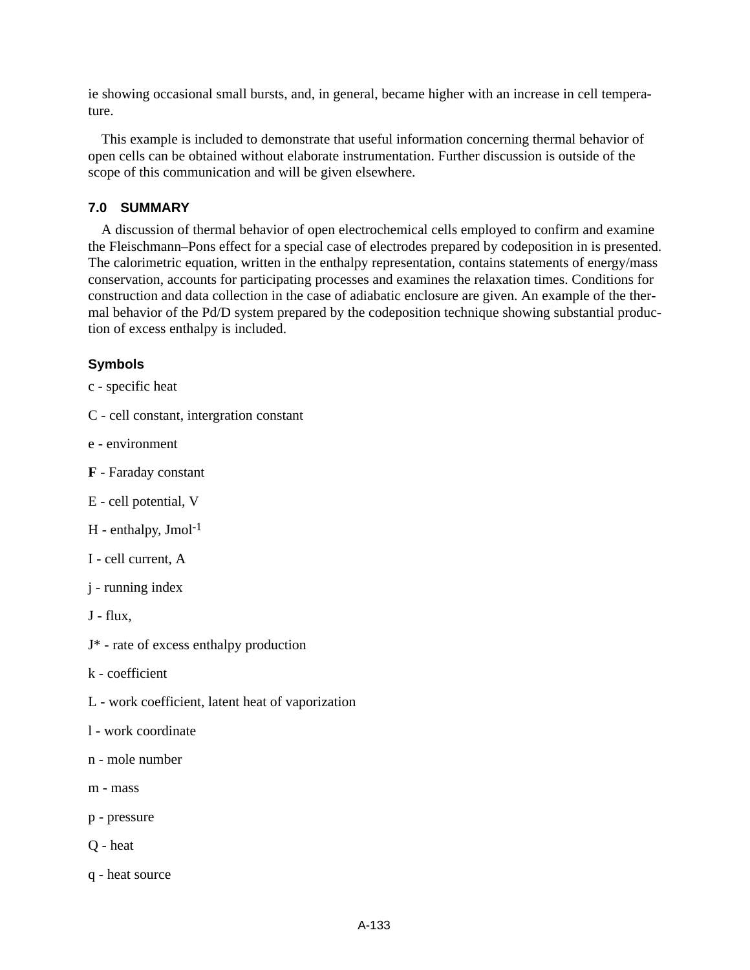ie showing occasional small bursts, and, in general, became higher with an increase in cell temperature.

This example is included to demonstrate that useful information concerning thermal behavior of open cells can be obtained without elaborate instrumentation. Further discussion is outside of the scope of this communication and will be given elsewhere.

## **7.0 SUMMARY**

A discussion of thermal behavior of open electrochemical cells employed to confirm and examine the Fleischmann–Pons effect for a special case of electrodes prepared by codeposition in is presented. The calorimetric equation, written in the enthalpy representation, contains statements of energy/mass conservation, accounts for participating processes and examines the relaxation times. Conditions for construction and data collection in the case of adiabatic enclosure are given. An example of the thermal behavior of the Pd/D system prepared by the codeposition technique showing substantial production of excess enthalpy is included.

## **Symbols**

c - specific heat

- C cell constant, intergration constant
- e environment
- **F** Faraday constant
- E cell potential, V
- H enthalpy, Jmol-1
- I cell current, A
- j running index
- J flux,
- J\* rate of excess enthalpy production
- k coefficient
- L work coefficient, latent heat of vaporization
- l work coordinate
- n mole number
- m mass
- p pressure
- Q heat
- q heat source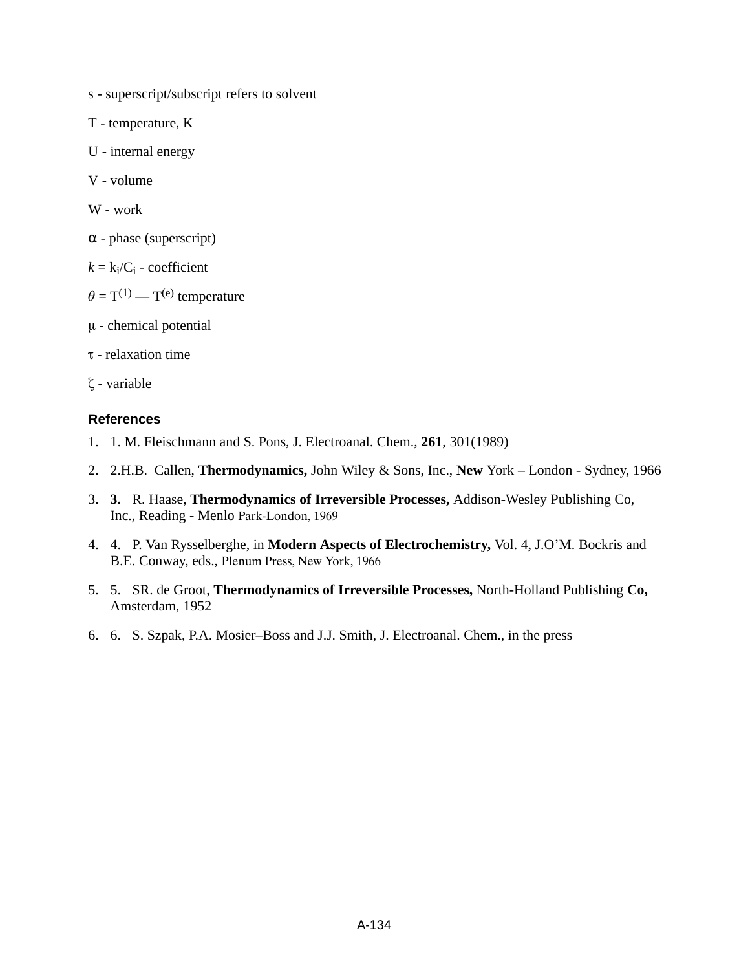- s superscript/subscript refers to solvent
- T temperature, K
- U internal energy
- V volume
- W work
- $\alpha$  phase (superscript)
- $k = k_i/C_i$  coefficient
- $\theta = T^{(1)} T^{(e)}$  temperature
- $\mu$  chemical potential
- - relaxation time
- $\zeta$  variable

### **References**

- 1. 1. M. Fleischmann and S. Pons, J. Electroanal. Chem., **261**, 301(1989)
- 2. 2.H.B. Callen, **Thermodynamics,** John Wiley & Sons, Inc., **New** York London Sydney, 1966
- 3. **3.** R. Haase, **Thermodynamics of Irreversible Processes,** Addison-Wesley Publishing Co, Inc., Reading - Menlo Park-London, 1969
- 4. 4. P. Van Rysselberghe, in **Modern Aspects of Electrochemistry,** Vol. 4, J.O'M. Bockris and B.E. Conway, eds., Plenum Press, New York, 1966
- 5. 5. SR. de Groot, **Thermodynamics of Irreversible Processes,** North-Holland Publishing **Co,** Amsterdam, 1952
- 6. 6. S. Szpak, P.A. Mosier–Boss and J.J. Smith, J. Electroanal. Chem., in the press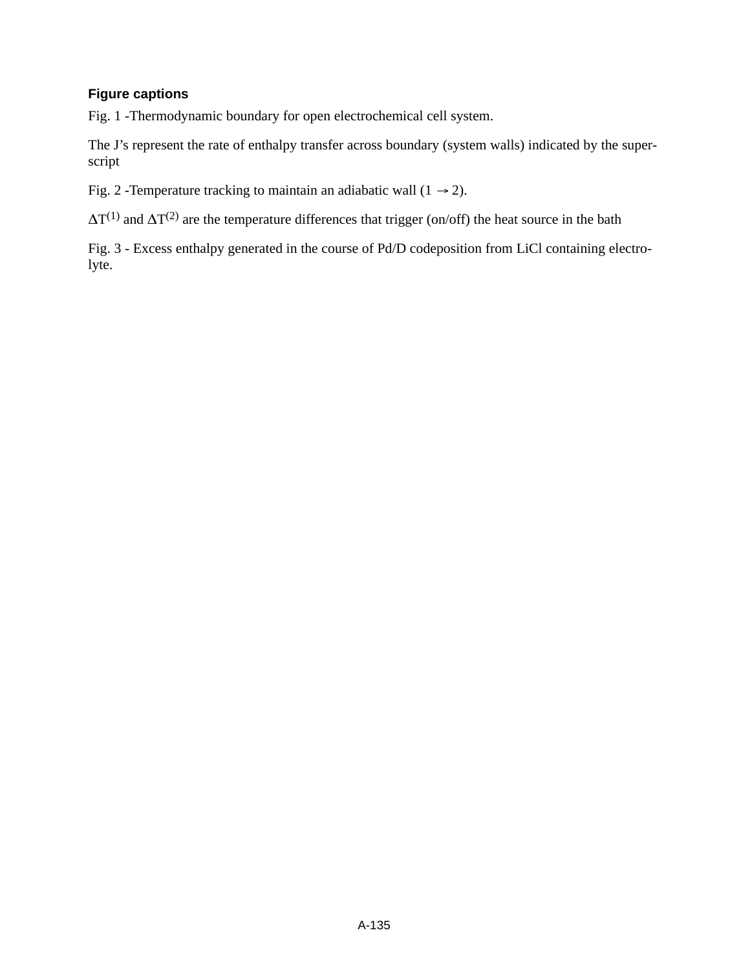## **Figure captions**

Fig. 1 -Thermodynamic boundary for open electrochemical cell system.

The J's represent the rate of enthalpy transfer across boundary (system walls) indicated by the superscript

Fig. 2 -Temperature tracking to maintain an adiabatic wall  $(1 \rightarrow 2)$ .

 $\Delta T^{(1)}$  and  $\Delta T^{(2)}$  are the temperature differences that trigger (on/off) the heat source in the bath

Fig. 3 - Excess enthalpy generated in the course of Pd/D codeposition from LiCl containing electrolyte.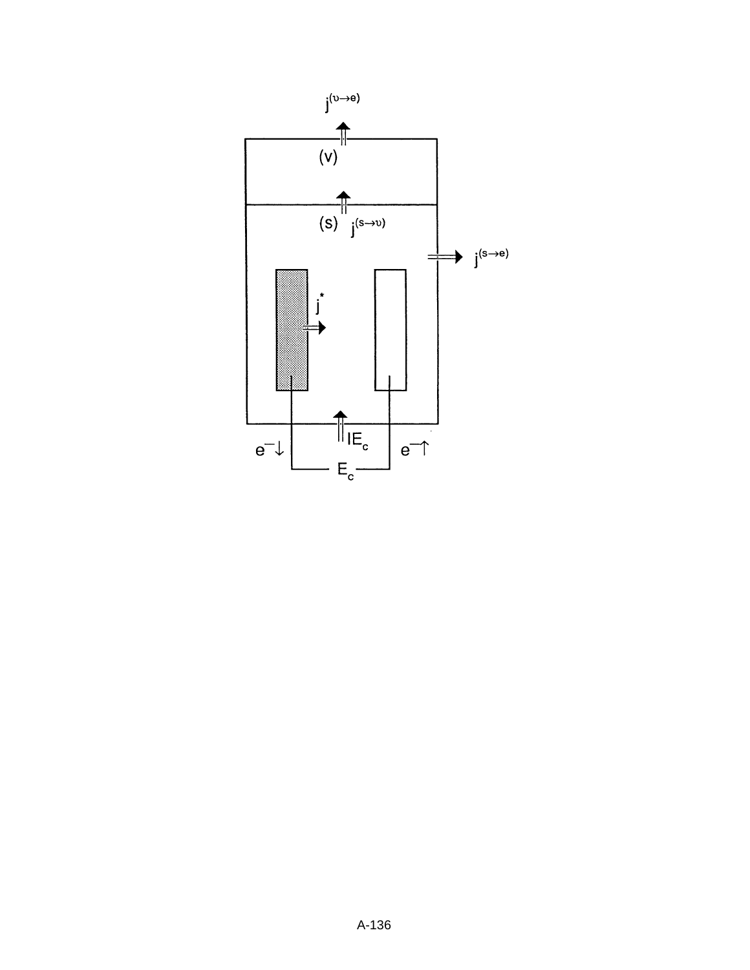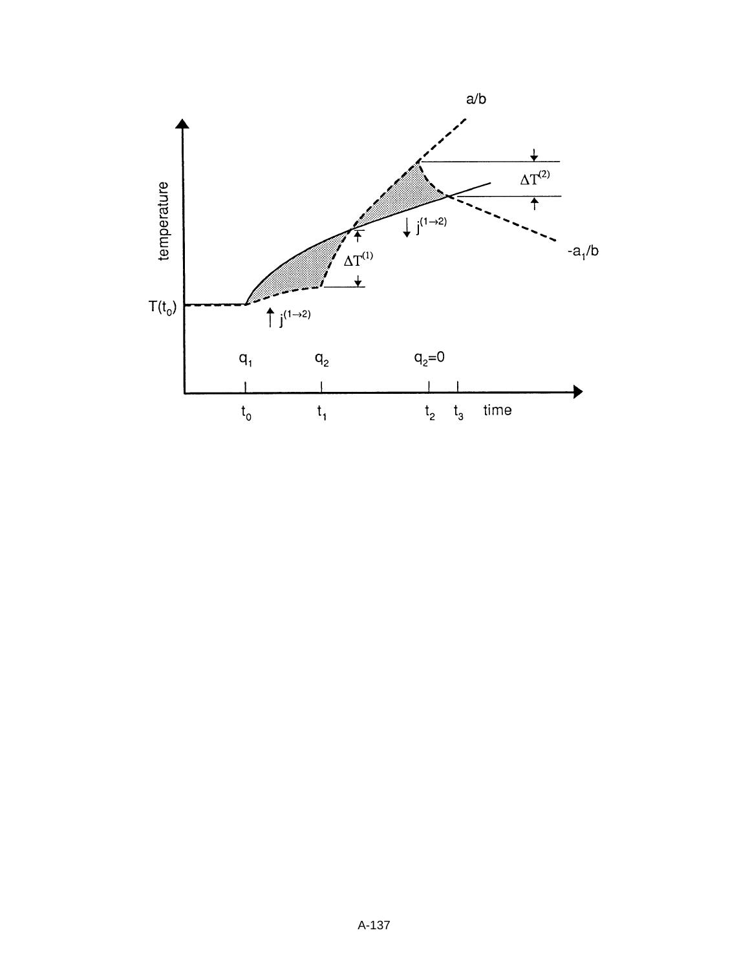